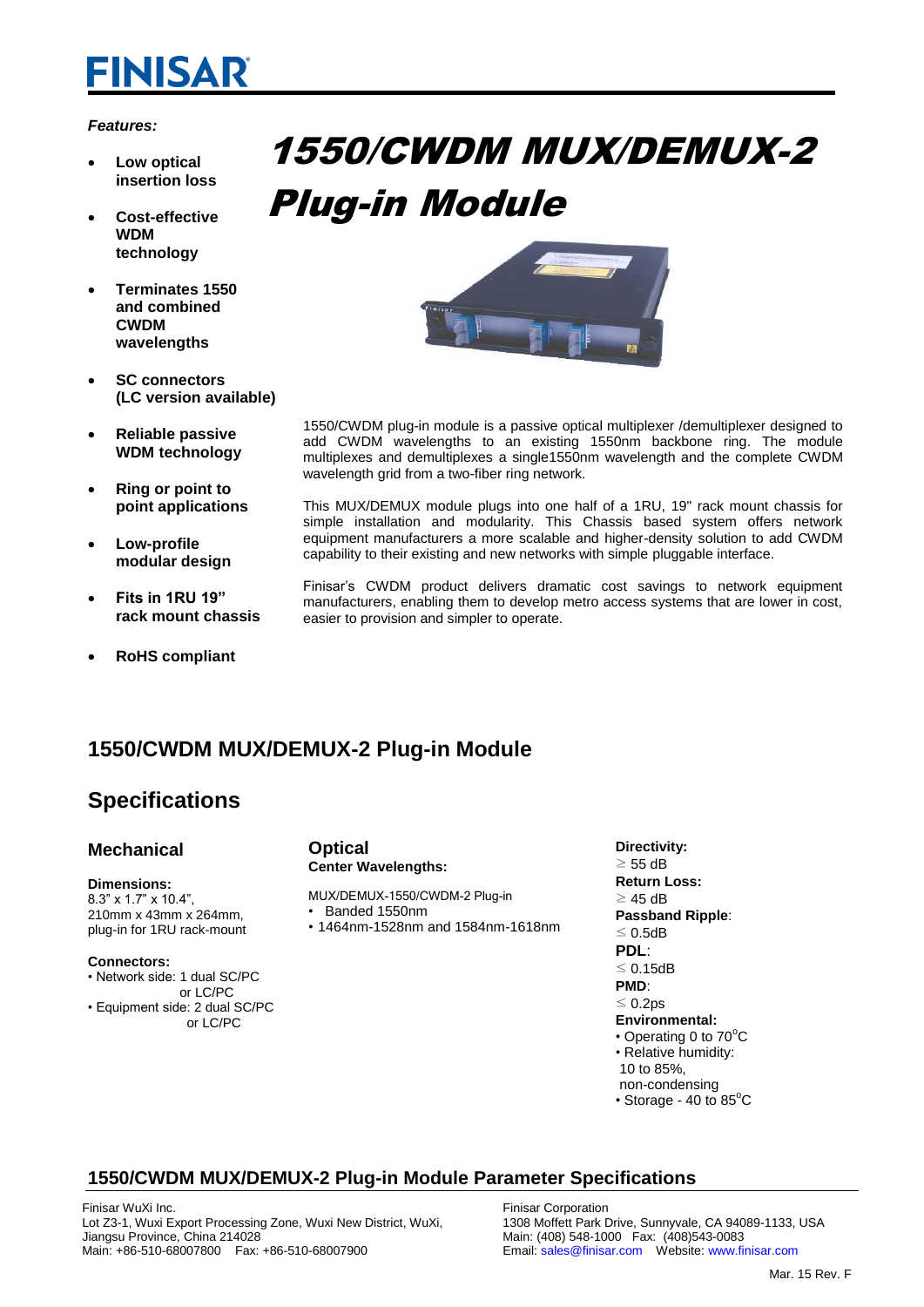# **FINISAR**

#### *Features:*

- **Low optical insertion loss**
- **Cost-effective WDM technology**
- **Terminates 1550 and combined CWDM wavelengths**
- **SC connectors (LC version available)**
- **Reliable passive WDM technology**
- **Ring or point to point applications**
- **Low-profile modular design**
- **Fits in 1RU 19" rack mount chassis**
- **RoHS compliant**

# 1550/CWDM MUX/DEMUX-2 Plug-in Module



- 1550/CWDM plug-in module is a passive optical multiplexer /demultiplexer designed to add CWDM wavelengths to an existing 1550nm backbone ring. The module multiplexes and demultiplexes a single1550nm wavelength and the complete CWDM wavelength grid from a two-fiber ring network.
	- This MUX/DEMUX module plugs into one half of a 1RU, 19" rack mount chassis for simple installation and modularity. This Chassis based system offers network equipment manufacturers a more scalable and higher-density solution to add CWDM capability to their existing and new networks with simple pluggable interface.

Finisar's CWDM product delivers dramatic cost savings to network equipment manufacturers, enabling them to develop metro access systems that are lower in cost, easier to provision and simpler to operate.

### **1550/CWDM MUX/DEMUX-2 Plug-in Module**

## **Specifications**

#### **Mechanical**

#### **Dimensions:**

8.3" x 1.7" x 10.4", 210mm x 43mm x 264mm, plug-in for 1RU rack-mount

#### **Connectors:**

- Network side: 1 dual SC/PC
- or LC/PC • Equipment side: 2 dual SC/PC or LC/PC

#### **Optical Center Wavelengths:**

- MUX/DEMUX-1550/CWDM-2 Plug-in • Banded 1550nm
- 1464nm-1528nm and 1584nm-1618nm

**Directivity:**   $\geq$  55 dB **Return Loss:**   $\geq$  45 dB **Passband Ripple**: ≤ 0.5dB **PDL**: ≤ 0.15dB **PMD**: ≤ 0.2ps **Environmental:** • Operating 0 to  $70^{\circ}$ C • Relative humidity: 10 to 85%, non-condensing • Storage - 40 to  $85^{\circ}$ C

## **1550/CWDM MUX/DEMUX-2 Plug-in Module Parameter Specifications**

Finisar WuXi Inc. Lot Z3-1, Wuxi Export Processing Zone, Wuxi New District, WuXi, Jiangsu Province, China 214028 Main: +86-510-68007800 Fax: +86-510-68007900

Finisar Corporation 1308 Moffett Park Drive, Sunnyvale, CA 94089-1133, USA Main: (408) 548-1000 Fax: (408)543-0083 Email: sales@finisar.com Website: www.finisar.com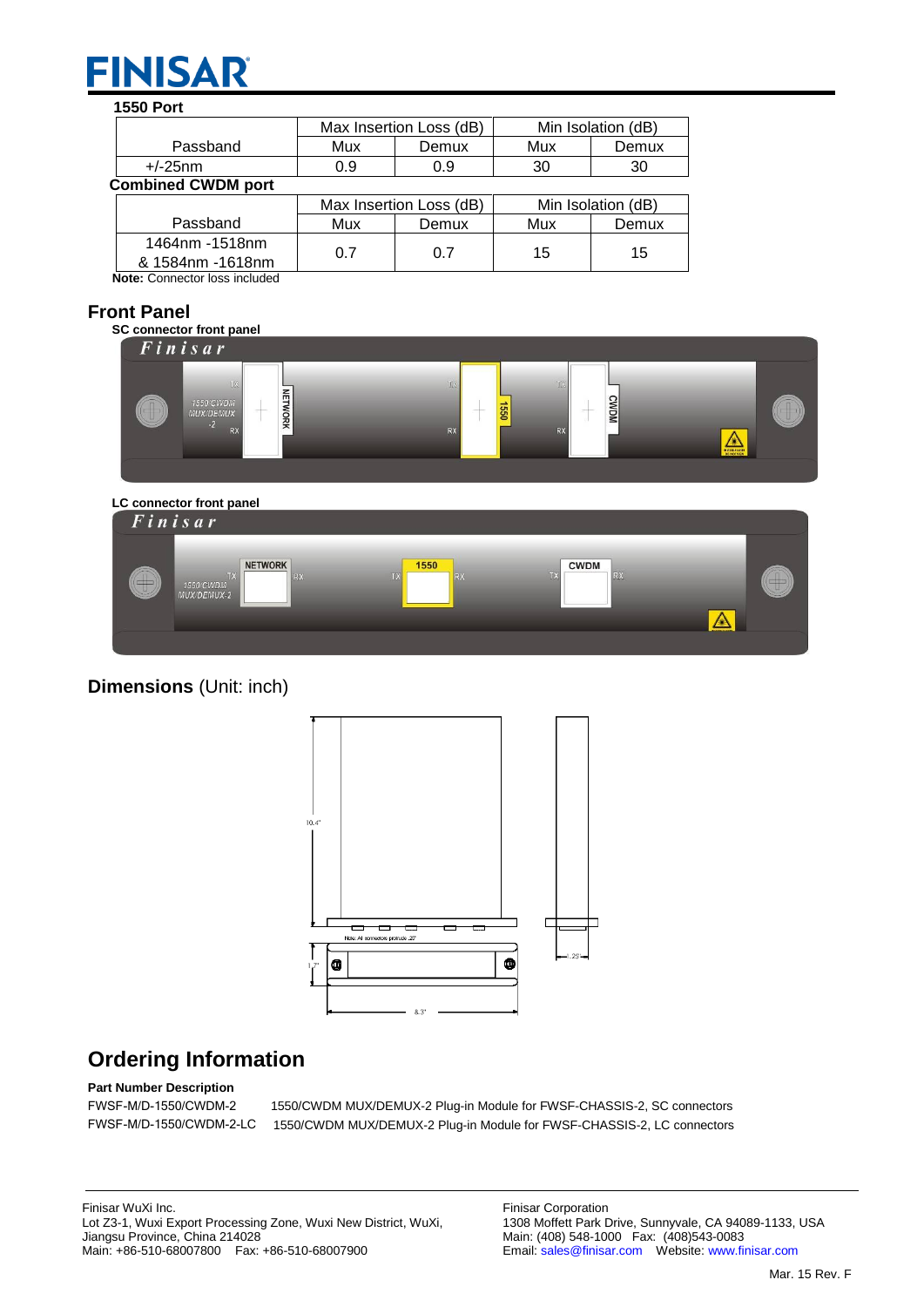# **FINISAR**

#### **1550 Port** Passband Max Insertion Loss (dB) Min Isolation (dB) Mux Demux Mux Demux +/-25nm 0.9 0.9 30 30  **Combined CWDM port** Passband Max Insertion Loss (dB) Min Isolation (dB)<br>Mux Demux Mux Demu Mux Demux Mux Demux 1464nm -1518nm & 1584nm -1618nm 0.7 0.7 15 15

 **Note:** Connector loss included

### **Front Panel**



**Dimensions** (Unit: inch)



## **Ordering Information**

**Part Number Description**

FWSF-M/D-1550/CWDM-2 1550/CWDM MUX/DEMUX-2 Plug-in Module for FWSF-CHASSIS-2, SC connectors FWSF-M/D-1550/CWDM-2-LC 1550/CWDM MUX/DEMUX-2 Plug-in Module for FWSF-CHASSIS-2, LC connectors